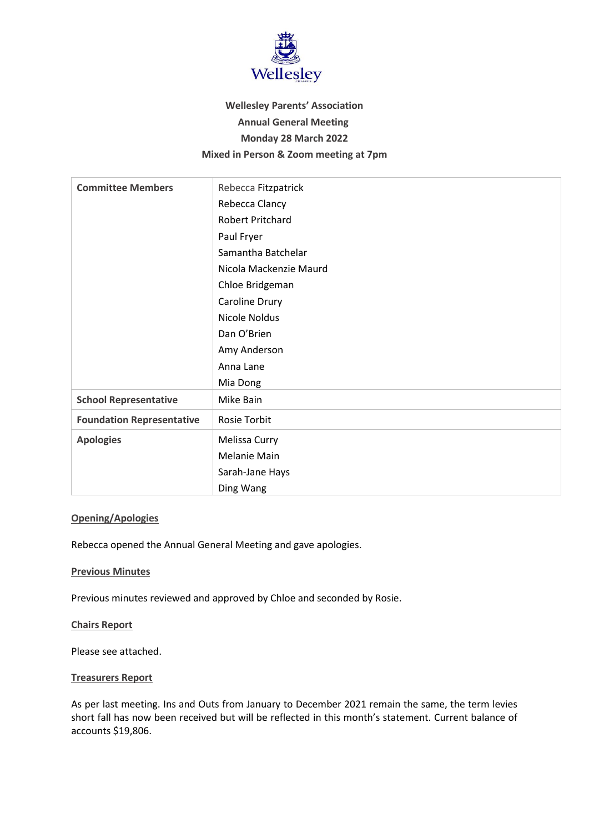

# **Wellesley Parents' Association Annual General Meeting Monday 28 March 2022 Mixed in Person & Zoom meeting at 7pm**

| <b>Committee Members</b>         | Rebecca Fitzpatrick    |
|----------------------------------|------------------------|
|                                  | Rebecca Clancy         |
|                                  | Robert Pritchard       |
|                                  | Paul Fryer             |
|                                  | Samantha Batchelar     |
|                                  | Nicola Mackenzie Maurd |
|                                  | Chloe Bridgeman        |
|                                  | Caroline Drury         |
|                                  | Nicole Noldus          |
|                                  | Dan O'Brien            |
|                                  | Amy Anderson           |
|                                  | Anna Lane              |
|                                  | Mia Dong               |
| <b>School Representative</b>     | Mike Bain              |
| <b>Foundation Representative</b> | <b>Rosie Torbit</b>    |
| <b>Apologies</b>                 | Melissa Curry          |
|                                  | <b>Melanie Main</b>    |
|                                  | Sarah-Jane Hays        |
|                                  | Ding Wang              |

## **Opening/Apologies**

Rebecca opened the Annual General Meeting and gave apologies.

#### **Previous Minutes**

Previous minutes reviewed and approved by Chloe and seconded by Rosie.

#### **Chairs Report**

Please see attached.

#### **Treasurers Report**

As per last meeting. Ins and Outs from January to December 2021 remain the same, the term levies short fall has now been received but will be reflected in this month's statement. Current balance of accounts \$19,806.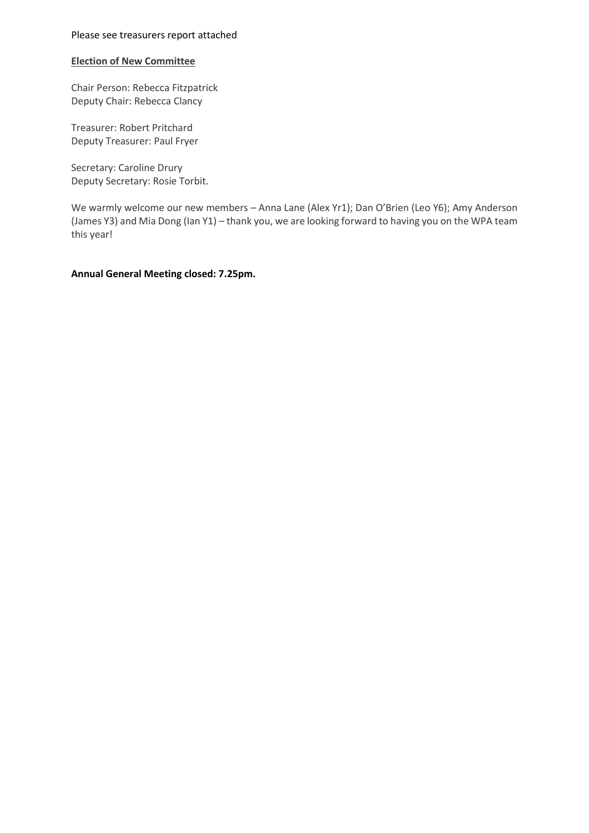#### Please see treasurers report attached

#### **Election of New Committee**

Chair Person: Rebecca Fitzpatrick Deputy Chair: Rebecca Clancy

Treasurer: Robert Pritchard Deputy Treasurer: Paul Fryer

Secretary: Caroline Drury Deputy Secretary: Rosie Torbit.

We warmly welcome our new members – Anna Lane (Alex Yr1); Dan O'Brien (Leo Y6); Amy Anderson (James Y3) and Mia Dong (Ian Y1) – thank you, we are looking forward to having you on the WPA team this year!

**Annual General Meeting closed: 7.25pm.**